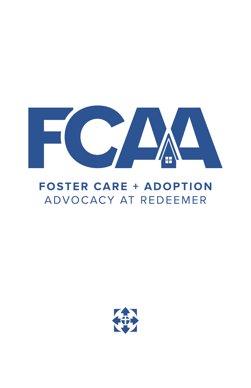

# **FOSTER CARE + ADOPTION** ADVOCACY AT REDEEMER

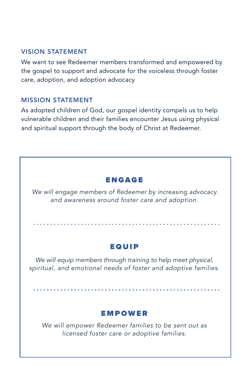## VISION STATEMENT

We want to see Redeemer members transformed and empowered by the gospel to support and advocate for the voiceless through foster care, adoption, and adoption advocacy

#### MISSION STATEMENT

As adopted children of God, our gospel identity compels us to help vulnerable children and their families encounter Jesus using physical and spiritual support through the body of Christ at Redeemer.

# ENGAGE

*We will engage members of Redeemer by increasing advocacy and awareness around foster care and adoption.*

# EQUIP

*We will equip members through training to help meet physical, spiritual, and emotional needs of foster and adoptive families.*

# EMPOWER

*We will empower Redeemer families to be sent out as licensed foster care or adoptive families.*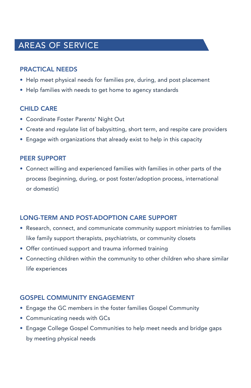# AREAS OF SERVICE

# PRACTICAL NEEDS

- Help meet physical needs for families pre, during, and post placement
- Help families with needs to get home to agency standards

# **CHILD CARE**

- Coordinate Foster Parents' Night Out
- Create and regulate list of babysitting, short term, and respite care providers
- Engage with organizations that already exist to help in this capacity

#### PEER SUPPORT

• Connect willing and experienced families with families in other parts of the process (beginning, during, or post foster/adoption process, international or domestic)

## LONG-TERM AND POST-ADOPTION CARE SUPPORT

- Research, connect, and communicate community support ministries to families like family support therapists, psychiatrists, or community closets
- Offer continued support and trauma informed training
- Connecting children within the community to other children who share similar life experiences

## GOSPEL COMMUNITY ENGAGEMENT

- Engage the GC members in the foster families Gospel Community
- Communicating needs with GCs
- Engage College Gospel Communities to help meet needs and bridge gaps by meeting physical needs